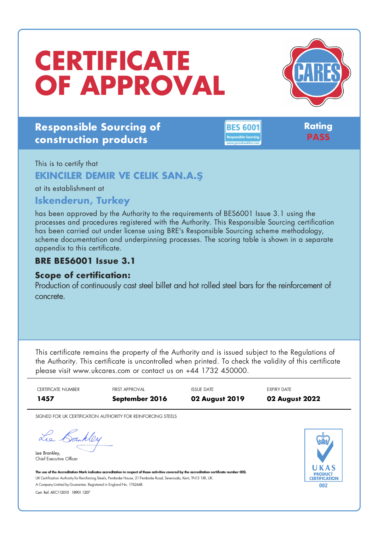# **CERTIFICATE OF APPROVAL**



# **Responsible Sourcing of construction products**

**BES 6001** 

**Rating PASS**

#### This is to certify that

### **EKINCILER DEMIR VE CELIK SAN.A.Ş**

at its establishment at

## **Iskenderun, Turkey**

has been approved by the Authority to the requirements of BES6001 Issue 3.1 using the processes and procedures registered with the Authority. This Responsible Sourcing certification has been carried out under license using BRE's Responsible Sourcing scheme methodology, scheme documentation and underpinning processes. The scoring table is shown in a separate appendix to this certificate.

### **BRE BES6001 Issue 3.1**

#### **Scope of certification:**

Production of continuously cast steel billet and hot rolled steel bars for the reinforcement of concrete.

This certificate remains the property of the Authority and is issued subject to the Regulations of the Authority. This certificate is uncontrolled when printed. To check the validity of this certificate please visit www.ukcares.com or contact us on +44 1732 450000.